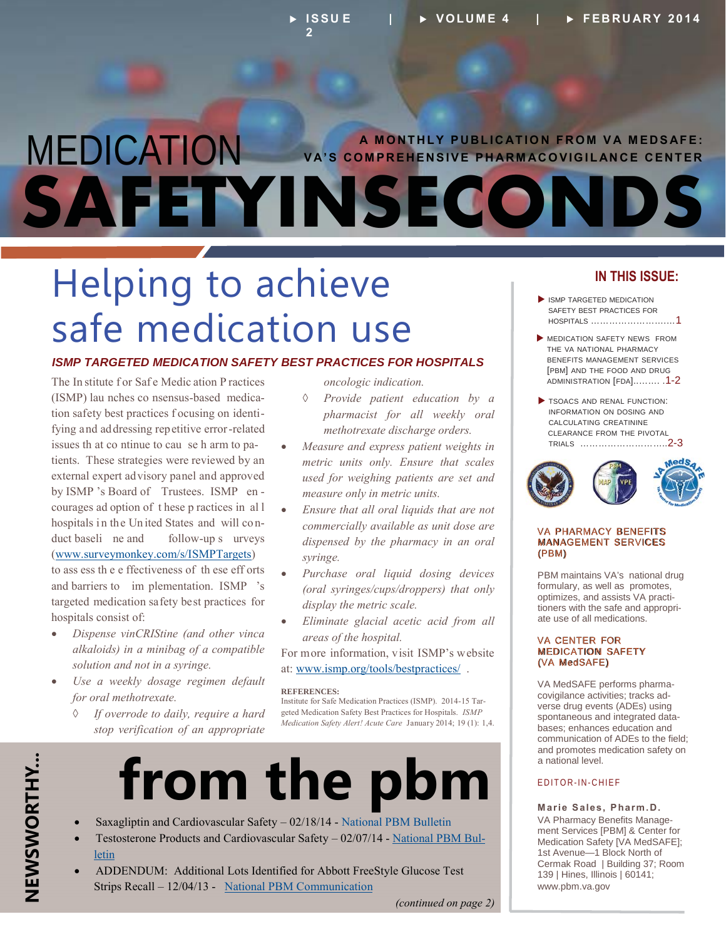## MEDICATION **SAFETYINSECOND A MONTHLY PUBLICATION FROM VA MEDSAFE: VA'S COMPREHENSIVE PHARMACOVIGILANCE CENTER**

## Helping to achieve safe medication use

#### *ISMP TARGETED MEDICATION SAFETY BEST PRACTICES FOR HOSPITALS*

The In stitute for Safe Medic ation P ractices (ISMP) lau nches co nsensus-based medication safety best practices f ocusing on identifying and addressing repetitive error-related issues th at co ntinue to cau se h arm to patients. These strategies were reviewed by an external expert advisory panel and approved by ISMP 's Board of Trustees. ISMP en courages ad option of t hese p ractices in al l hospitals in the United States and will conduct baseli ne and follow-up s urveys (www.surveymonkey.com/s/ISMPTargets) to ass ess th e e ffectiveness of th ese eff orts and barriers to im plementation. ISMP 's targeted medication safety best practices for

x *Dispense vinCRIStine (and other vinca alkaloids) in a minibag of a compatible solution and not in a syringe.* 

hospitals consist of:

- x *Use a weekly dosage regimen default for oral methotrexate.* 
	- $\Diamond$ *If overrode to daily, require a hard stop verification of an appropriate*

*oncologic indication.* 

- ¡ *Provide patient education by a pharmacist for all weekly oral methotrexate discharge orders.*
- x *Measure and express patient weights in metric units only. Ensure that scales used for weighing patients are set and measure only in metric units.*
- x *Ensure that all oral liquids that are not commercially available as unit dose are dispensed by the pharmacy in an oral syringe.*
- x *Purchase oral liquid dosing devices (oral syringes/cups/droppers) that only display the metric scale.*
- x *Eliminate glacial acetic acid from all areas of the hospital.*

For more information, visit ISMP's website at: www.ismp.org/tools/bestpractices/ .

#### **REFERENCES:**

Institute for Safe Medication Practices (ISMP). 2014-15 Targeted Medication Safety Best Practices for Hospitals. *ISMP Medication Safety Alert! Acute Care* January 2014; 19 (1): 1,4.



- Saxagliptin and Cardiovascular Safety 02/18/14 National PBM Bulletin
- x Testosterone Products and Cardiovascular Safety 02/07/14 [National PBM Bul](http://www.pbm.va.gov/PBM/vacenterformedicationsafety/nationalpbmbulletin/Testosterone_Products_and_Cardiovascular_Safety_NATIONAL_PBM_BULLETIN_02.pdf)[letin](http://www.pbm.va.gov/PBM/vacenterformedicationsafety/nationalpbmbulletin/Testosterone_Products_and_Cardiovascular_Safety_NATIONAL_PBM_BULLETIN_02.pdf)
- x ADDENDUM: Additional Lots Identified for Abbott FreeStyle Glucose Test Strips Recall – 12/04/13 - [National PBM Communication](http://www.pbm.va.gov/PBM/vacenterformedicationsafety/nationalpbmcommunication/Abbott_Freestyle_Glucose_Test_Strips_Recall_ADDENDUM_NATIONAL_PBM_COMMUNICATION.pdf)

#### *(continued on page 2)*

#### **IN THIS ISSUE:**

- $\blacktriangleright$  ISMP TARGETED MEDICATION SAFETY BEST PRACTICES FOR HOSPITALS …………………….…1
- **MEDICATION SAFETY NEWS FROM** THE VA NATIONAL PHARMACY BENEFITS MANAGEMENT SERVICES [PBM] AND THE FOOD AND DRUG [ADMINISTRATION \[FDA\]..……. .1-2](#page-1-0)
- TSOACS AND RENAL FUNCTION: INFORMATION ON DOSING AND CALCULATING CREATININE CLEARANCE FROM THE PIVOTAL [TRIALS ………………………..2-3](#page-2-0)



#### VA PHARMACY BENEFITS MANAGEMENT SERVICES (PBM)

PBM maintains VA's national drug formulary, as well as promotes, optimizes, and assists VA practitioners with the safe and appropriate use of all medications.

#### VA CENTER FOR MEDICATION SAFETY (VA MedSAFE)

VA MedSAFE performs pharmacovigilance activities; tracks adverse drug events (ADEs) using spontaneous and integrated databases; enhances education and communication of ADEs to the field; and promotes medication safety on a national level.

#### EDITOR-IN-CHIEF

**Marie Sales, Pharm.D.**  VA Pharmacy Benefits Management Services [PBM] & Center for Medication Safety [VA MedSAFE]; 1st Avenue—1 Block North of Cermak Road | Building 37; Room 139 | Hines, Illinois | 60141; [www.pbm.va.gov](http://www.pbm.va.gov)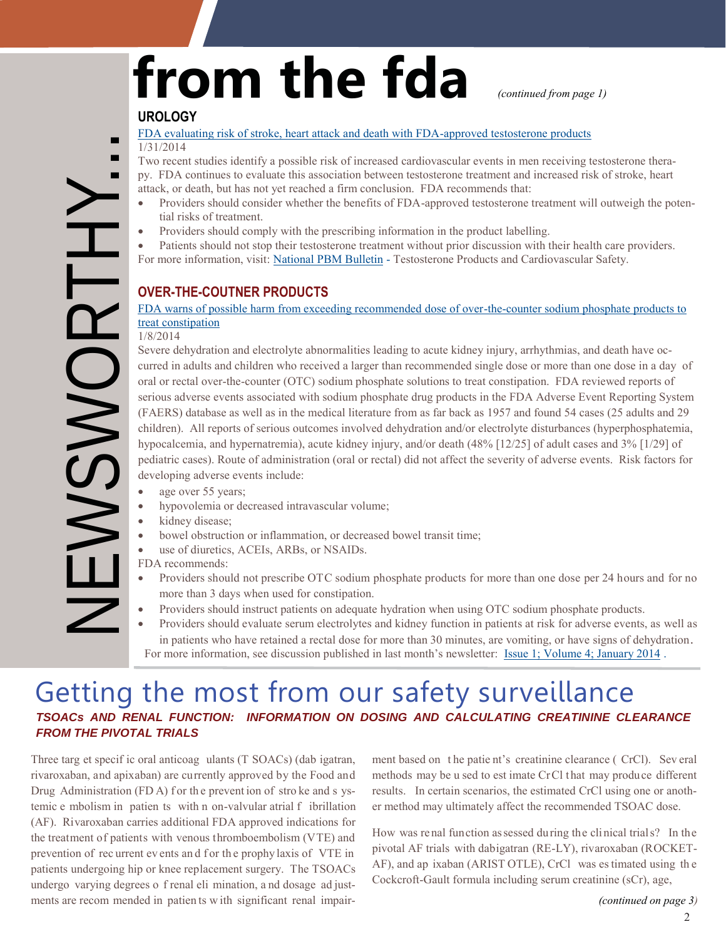# from the fda *continued from page 1***)**

#### **UROLOGY**

#### [FDA evaluating risk of stroke, heart attack and death with FDA-approved testosterone products](http://www.fda.gov/Drugs/DrugSafety/ucm383904.htm)  1/31/2014

<span id="page-1-0"></span>NEWSWORTHY...

Two recent studies identify a possible risk of increased cardiovascular events in men receiving testosterone therapy. FDA continues to evaluate this association between testosterone treatment and increased risk of stroke, heart attack, or death, but has not yet reached a firm conclusion. FDA recommends that:

- Providers should consider whether the benefits of FDA-approved testosterone treatment will outweigh the potential risks of treatment.
- Providers should comply with the prescribing information in the product labelling.
- For more information, visit: [National PBM Bulletin -](http://www.pbm.va.gov/PBM/vacenterformedicationsafety/nationalpbmbulletin/Testosterone_Products_and_Cardiovascular_Safety_NATIONAL_PBM_BULLETIN_02.pdf) Testosterone Products and Cardiovascular Safety. Patients should not stop their testosterone treatment without prior discussion with their health care providers.

#### **OVER-THE-COUTNER PRODUCTS**

#### [FDA warns of possible harm from exceeding recommended dose of over-the-counter sodium phosphate products to](http://www.fda.gov/Drugs/DrugSafety/ucm380757.htm)  treat constipation

1/8/2014

ISWOI

Severe dehydration and electrolyte abnormalities leading to acute kidney injury, arrhythmias, and death have occurred in adults and children who received a larger than recommended single dose or more than one dose in a day of oral or rectal over-the-counter (OTC) sodium phosphate solutions to treat constipation. FDA reviewed reports of serious adverse events associated with sodium phosphate drug products in the FDA Adverse Event Reporting System (FAERS) database as well as in the medical literature from as far back as 1957 and found 54 cases (25 adults and 29 children). All reports of serious outcomes involved dehydration and/or electrolyte disturbances (hyperphosphatemia, hypocalcemia, and hypernatremia), acute kidney injury, and/or death (48% [12/25] of adult cases and 3% [1/29] of pediatric cases). Route of administration (oral or rectal) did not affect the severity of adverse events. Risk factors for developing adverse events include:

- age over 55 years;
- hypovolemia or decreased intravascular volume;
- kidney disease;
- bowel obstruction or inflammation, or decreased bowel transit time;
- use of diuretics, ACEIs, ARBs, or NSAIDs.

FDA recommends:

- Providers should not prescribe OTC sodium phosphate products for more than one dose per 24 hours and for no more than 3 days when used for constipation.
- Providers should instruct patients on adequate hydration when using OTC sodium phosphate products.
- Providers should evaluate serum electrolytes and kidney function in patients at risk for adverse events, as well as in patients who have retained a rectal dose for more than 30 minutes, are vomiting, or have signs of dehydration. For more information, see discussion published in last month's newsletter: [Issue 1; Volume 4; January 2014 .](http://www.pbm.va.gov/PBM/vacenterformedicationsafety/newsletter/Medication_Safety_in_Seconds_Jan_2014_FINAL.pdf)

### Getting the most from our safety surveillance *TSOACs AND RENAL FUNCTION: INFORMATION ON DOSING AND CALCULATING CREATININE CLEARANCE FROM THE PIVOTAL TRIALS*

Three targ et specif ic oral anticoag ulants (T SOACs) (dab igatran, rivaroxaban, and apixaban) are currently approved by the Food and Drug Administration (FDA) for the prevent ion of stroke and s ystemic e mbolism in patien ts with n on-valvular atrial f ibrillation (AF). Rivaroxaban carries additional FDA approved indications for the treatment of patients with venous thromboembolism (VTE) and prevention of rec urrent ev ents and f or the prophy laxis of VTE in patients undergoing hip or knee replacement surgery. The TSOACs undergo varying degrees o f renal eli mination, a nd dosage ad just ments are recom mended in patien ts w ith significant renal impair-

ment based on t he patie nt's creatinine clearance ( CrCl). Sev eral methods may be u sed to est imate CrCl that may produce different - results. In certain scenarios, the estimated CrCl using one or another method may ultimately affect the recommended TSOAC dose.

How was renal function assessed during the clinical trials? In the pivotal AF trials with dabigatran (RE-LY), rivaroxaban (ROCKET-AF), and ap ixaban (ARIST OTLE), CrCl was es timated using th e Cockcroft-Gault formula including serum creatinine (sCr), age,

2